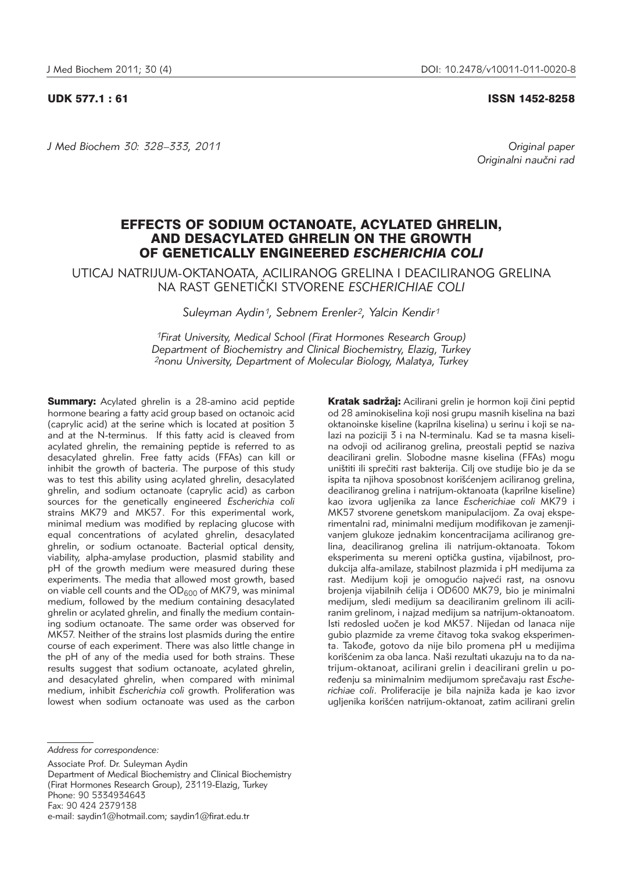UDK 577.1 : 61 ISSN 1452-8258

*J Med Biochem 30: 328–333, 2011 Original paper*

Originalni naučni rad

# EFFECTS OF SODIUM OCTANOATE, ACYLATED GHRELIN, AND DESACYLATED GHRELIN ON THE GROWTH OF GENETICALLY ENGINEERED *ESCHERICHIA COLI*

UTICAJ NATRIJUM-OKTANOATA, ACILIRANOG GRELINA I DEACILIRANOG GRELINA NA RAST GENETI^KI STVORENE *ESCHERICHIAE COLI*

*Suleyman Aydin1, Sebnem Erenler2, Yalcin Kendir1*

*1Firat University, Medical School (Firat Hormones Research Group) Department of Biochemistry and Clinical Biochemistry, Elazig, Turkey 2nonu University, Department of Molecular Biology, Malatya, Turkey*

**Summary:** Acylated ghrelin is a 28-amino acid peptide hormone bearing a fatty acid group based on octanoic acid (caprylic acid) at the serine which is located at position 3 and at the N-terminus. If this fatty acid is cleaved from acylated ghrelin, the remaining peptide is referred to as desacylated ghrelin. Free fatty acids (FFAs) can kill or inhibit the growth of bacteria. The purpose of this study was to test this ability using acylated ghrelin, desacylated ghrelin, and sodium octanoate (caprylic acid) as carbon sources for the genetically engineered *Escherichia coli* strains MK79 and MK57. For this experimental work, minimal medium was modified by replacing glucose with equal concentrations of acylated ghrelin, desacylated ghrelin, or sodium octanoate. Bacterial optical density, viability, alpha-amylase production, plasmid stability and pH of the growth medium were measured during these experiments. The media that allowed most growth, based on viable cell counts and the  $OD<sub>600</sub>$  of MK79, was minimal medium, followed by the medium containing desacylated ghrelin or acylated ghrelin, and finally the medium containing sodium octanoate. The same order was observed for MK57. Neither of the strains lost plasmids during the entire course of each experiment. There was also little change in the pH of any of the media used for both strains. These results suggest that sodium octanoate, acylated ghrelin, and desacylated ghrelin, when compared with minimal medium, inhibit *Escherichia coli* growth*.* Proliferation was lowest when sodium octanoate was used as the carbon

*Address for correspondence:*

Associate Prof. Dr. Suleyman Aydin Department of Medical Biochemistry and Clinical Biochemistry (Firat Hormones Research Group), 23119-Elazig, Turkey Phone: 90 5334934643 Fax: 90 424 2379138 e-mail: saydin1@hotmail.com; saydin1@firat.edu.tr

Kratak sadržaj: Acilirani grelin je hormon koji čini peptid od 28 aminokiselina koji nosi grupu masnih kiselina na bazi oktanoinske kiseline (kaprilna kiselina) u serinu i koji se na lazi na poziciji 3 i na N-terminalu. Kad se ta masna kiselina odvoji od aciliranog grelina, preostali peptid se naziva deacilirani grelin. Slobodne masne kiselina (FFAs) mogu uništiti ili sprečiti rast bakterija. Cilj ove studije bio je da se ispita ta njihova sposobnost korišćenjem aciliranog grelina, deaciliranog grelina i natrijum-oktanoata (kaprilne kiseline) kao izvora ugljenika za lance *Escherichiae coli* MK79 i MK57 stvorene genetskom manipulacijom. Za ovaj eksperimentalni rad, minimalni medijum modifikovan je zamenjivaniem glukoze jednakim koncentracijama aciliranog grelina, deaciliranog grelina ili natrijum-oktanoata. Tokom eksperimenta su mereni optička gustina, vijabilnost, produkcija alfa-amilaze, stabilnost plazmida i pH medijuma za rast. Medijum koji je omogućio najveći rast, na osnovu brojenja vijabilnih ćelija i OD600 MK79, bio je minimalni medijum, sledi medijum sa deaciliranim grelinom ili aciliranim grelinom, i najzad medijum sa natrijum-oktanoatom. Isti redosled uočen je kod MK57. Nijedan od lanaca nije gubio plazmide za vreme čitavog toka svakog eksperimenta. Takođe, gotovo da nije bilo promena pH u medijima korišćenim za oba lanca. Naši rezultati ukazuju na to da natrijum-oktanoat, acilirani grelin i deacilirani grelin u poređenju sa minimalnim medijumom sprečavaju rast Escherichiae coli. Proliferacije je bila najniža kada je kao izvor ugljenika korišćen natrijum-oktanoat, zatim acilirani grelin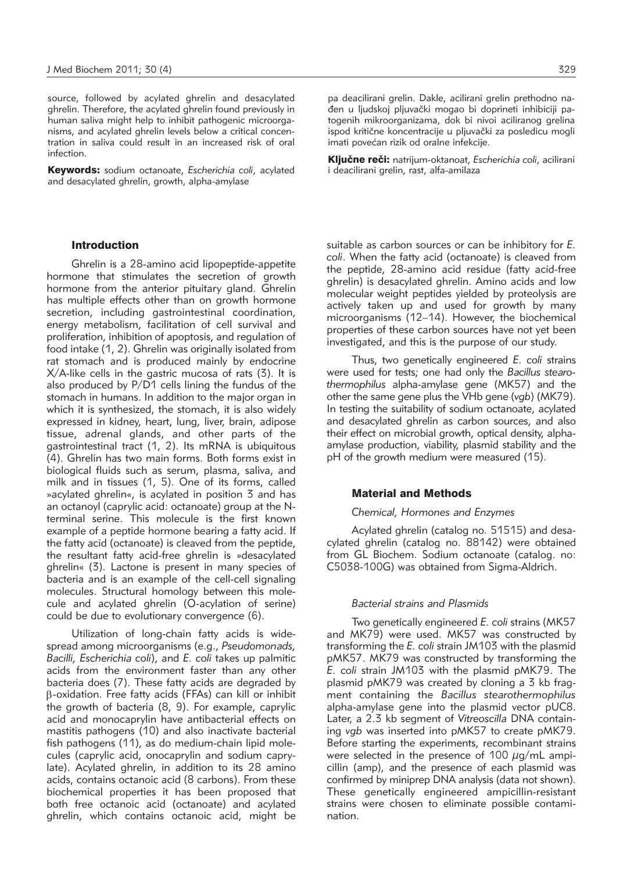source, followed by acylated ghrelin and desacylated ghrelin. Therefore, the acylated ghrelin found previously in human saliva might help to inhibit pathogenic microorganisms, and acylated ghrelin levels below a critical concentration in saliva could result in an increased risk of oral infection.

Keywords: sodium octanoate, *Escherichia coli*, acylated and desacylated ghrelin, growth, alpha-amylase

# Introduction

Ghrelin is a 28-amino acid lipopeptide-appetite hormone that stimulates the secretion of growth hormone from the anterior pituitary gland. Ghrelin has multiple effects other than on growth hormone secretion, including gastrointestinal coordination, energy metabolism, facilitation of cell survival and proliferation, inhibition of apoptosis, and regulation of food intake (1, 2). Ghrelin was originally isolated from rat stomach and is produced mainly by endocrine X/A-like cells in the gastric mucosa of rats (3). It is also produced by P/D1 cells lining the fundus of the stomach in humans. In addition to the major organ in which it is synthesized, the stomach, it is also widely expressed in kidney, heart, lung, liver, brain, adipose tissue, adrenal glands, and other parts of the gastrointestinal tract (1, 2). Its mRNA is ubiquitous (4). Ghrelin has two main forms. Both forms exist in biological fluids such as serum, plasma, saliva, and milk and in tissues (1, 5). One of its forms, called »acylated ghrelin«, is acylated in position 3 and has an octanoyl (caprylic acid: octanoate) group at the Nterminal serine. This molecule is the first known example of a peptide hormone bearing a fatty acid. If the fatty acid (octanoate) is cleaved from the peptide, the resultant fatty acid-free ghrelin is »desacylated ghrelin« (3). Lactone is present in many species of bacteria and is an example of the cell-cell signaling molecules. Structural homology between this molecule and acylated ghrelin (O-acylation of serine) could be due to evolutionary convergence (6).

Utilization of long-chain fatty acids is widespread among microorganisms (e.g., *Pseudomonads, Bacilli, Escherichia coli*), and *E. coli* takes up palmitic acids from the environment faster than any other bacteria does (7). These fatty acids are degraded by b-oxidation. Free fatty acids (FFAs) can kill or inhibit the growth of bacteria (8, 9). For example, caprylic acid and monocaprylin have antibacterial effects on mastitis pathogens (10) and also inactivate bacterial fish pathogens (11), as do medium-chain lipid molecules (caprylic acid, onocaprylin and sodium caprylate). Acylated ghrelin, in addition to its 28 amino acids, contains octanoic acid (8 carbons). From these biochemical properties it has been proposed that both free octanoic acid (octanoate) and acylated ghrelin, which contains octanoic acid, might be

pa deacilirani grelin. Dakle, acilirani grelin prethodno naden u ljudskoj pljuvački mogao bi doprineti inhibiciji patogenih mikroorganizama, dok bi nivoi aciliranog grelina ispod kritične koncentracije u pljuvački za posledicu mogli imati povećan rizik od oralne infekcije.

Ključne reči: natrijum-oktanoat, *Escherichia coli*, acilirani i deacilirani grelin, rast, alfa-amilaza

suitable as carbon sources or can be inhibitory for *E. coli*. When the fatty acid (octanoate) is cleaved from the peptide, 28-amino acid residue (fatty acid-free ghrelin) is desacylated ghrelin. Amino acids and low molecular weight peptides yielded by proteolysis are actively taken up and used for growth by many microorganisms (12–14). However, the biochemical properties of these carbon sources have not yet been investigated, and this is the purpose of our study.

Thus, two genetically engineered *E. coli* strains were used for tests; one had only the *Bacillus stearo ther mophilus* alpha-amylase gene (MK57) and the other the same gene plus the VHb gene (*vgb*) (MK79). In testing the suitability of sodium octanoate, acylated and desacylated ghrelin as carbon sources, and also their effect on microbial growth, optical density, alphaamylase production, viability, plasmid stability and the pH of the growth medium were measured (15).

### Material and Methods

#### *Chemical, Hormones and Enzymes*

Acylated ghrelin (catalog no. 51515) and desacylated ghrelin (catalog no. 88142) were obtained from GL Biochem. Sodium octanoate (catalog. no: C5038-100G) was obtained from Sigma-Aldrich.

#### *Bacterial strains and Plasmids*

Two genetically engineered *E. coli* strains (MK57 and MK79) were used. MK57 was constructed by transforming the *E. coli* strain JM103 with the plasmid pMK57. MK79 was constructed by transforming the *E. coli* strain JM103 with the plasmid pMK79. The plasmid pMK79 was created by cloning a 3 kb fragment containing the *Bacillus stearothermophilus* alpha-amylase gene into the plasmid vector pUC8. Later, a 2.3 kb segment of Vitreoscilla DNA containing *vgb* was inserted into pMK57 to create pMK79. Before starting the experiments, recombinant strains were selected in the presence of 100  $\mu$ g/mL ampicillin (amp), and the presence of each plasmid was confirmed by miniprep DNA analysis (data not shown). These genetically engineered ampicillin-resistant strains were chosen to eliminate possible contamination.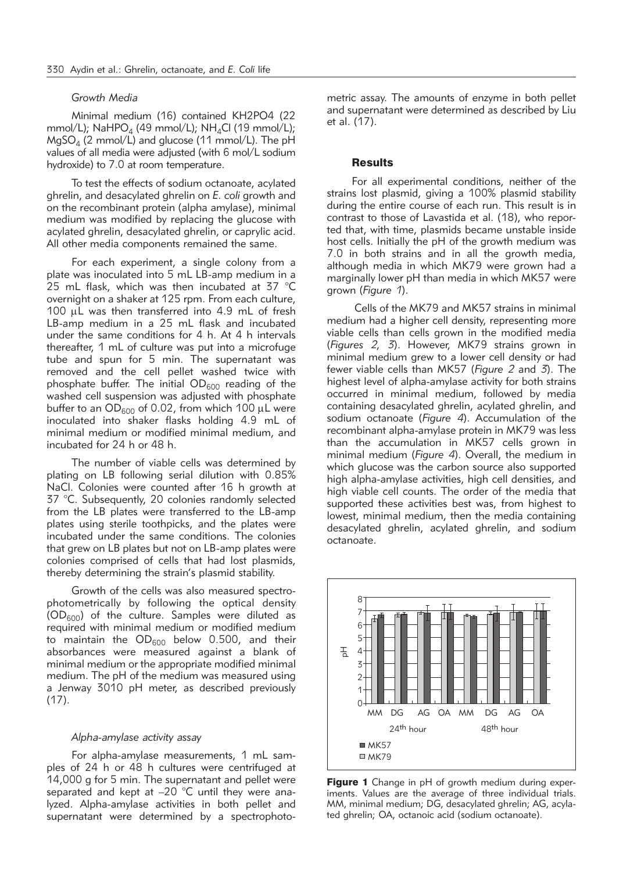## *Growth Media*

Minimal medium (16) contained KH2PO4 (22 mmol/L); NaHPO<sub>4</sub> (49 mmol/L); NH<sub>4</sub>Cl (19 mmol/L);  $MqSO<sub>4</sub>$  (2 mmol/L) and glucose (11 mmol/L). The pH values of all media were adjusted (with 6 mol/L sodium hydroxide) to 7.0 at room temperature.

To test the effects of sodium octanoate, acylated ghrelin, and desacylated ghrelin on *E. coli* growth and on the recombinant protein (alpha amylase), minimal medium was modified by replacing the glucose with acylated ghrelin, desacylated ghrelin, or caprylic acid. All other media components remained the same.

For each experiment, a single colony from a plate was inoculated into 5 mL LB-amp medium in a 25 mL flask, which was then incubated at 37 °C overnight on a shaker at 125 rpm. From each culture, 100 µL was then transferred into 4.9 mL of fresh LB-amp medium in a 25 mL flask and incubated under the same conditions for 4 h. At 4 h intervals thereafter, 1 mL of culture was put into a microfuge tube and spun for 5 min. The supernatant was removed and the cell pellet washed twice with phosphate buffer. The initial  $OD_{600}$  reading of the washed cell suspension was adjusted with phosphate buffer to an  $OD_{600}$  of 0.02, from which 100  $\mu$ L were inoculated into shaker flasks holding 4.9 mL of minimal medium or modified minimal medium, and incubated for 24 h or 48 h.

The number of viable cells was determined by plating on LB following serial dilution with 0.85% NaCl. Colonies were counted after 16 h growth at 37 °C. Subsequently, 20 colonies randomly selected from the LB plates were transferred to the LB-amp plates using sterile toothpicks, and the plates were incubated under the same conditions. The colonies that grew on LB plates but not on LB-amp plates were colonies comprised of cells that had lost plasmids, thereby determining the strain's plasmid stability.

Growth of the cells was also measured spectrophotometrically by following the optical density  $(OD<sub>600</sub>)$  of the culture. Samples were diluted as required with minimal medium or modified medium to maintain the  $OD_{600}$  below 0.500, and their absorbances were measured against a blank of minimal medium or the appropriate modified minimal medium. The pH of the medium was measured using a Jenway 3010 pH meter, as described previously  $(17)$ .

#### *Alpha-amylase activity assay*

For alpha-amylase measurements, 1 mL samples of 24 h or 48 h cultures were centrifuged at 14,000 g for 5 min. The supernatant and pellet were separated and kept at  $-20$  °C until they were analyzed. Alpha-amylase activities in both pellet and supernatant were determined by a spectrophotometric assay. The amounts of enzyme in both pellet and supernatant were determined as described by Liu et al. (17).

#### **Results**

For all experimental conditions, neither of the strains lost plasmid, giving a 100% plasmid stability during the entire course of each run. This result is in contrast to those of Lavastida et al. (18), who reported that, with time, plasmids became unstable inside host cells. Initially the pH of the growth medium was 7.0 in both strains and in all the growth media, although media in which MK79 were grown had a marginally lower pH than media in which MK57 were grown (*Figure 1*).

Cells of the MK79 and MK57 strains in minimal medium had a higher cell density, representing more viable cells than cells grown in the modified media (*Figures 2, 3*). However, MK79 strains grown in minimal medium grew to a lower cell density or had fewer viable cells than MK57 (*Figure 2* and *3*). The highest level of alpha-amylase activity for both strains occurred in minimal medium, followed by media containing desacylated ghrelin, acylated ghrelin, and sodium octanoate (*Figure 4*). Accumulation of the recombinant alpha-amylase protein in MK79 was less than the accumulation in MK57 cells grown in minimal medium (*Figure 4*). Overall, the medium in which glucose was the carbon source also supported high alpha-amylase activities, high cell densities, and high viable cell counts. The order of the media that supported these activities best was, from highest to lowest, minimal medium, then the media containing desacylated ghrelin, acylated ghrelin, and sodium octanoate.



Figure 1 Change in pH of growth medium during experiments. Values are the average of three individual trials. MM, minimal medium; DG, desacylated ghrelin; AG, acylated ghrelin; OA, octanoic acid (sodium octanoate).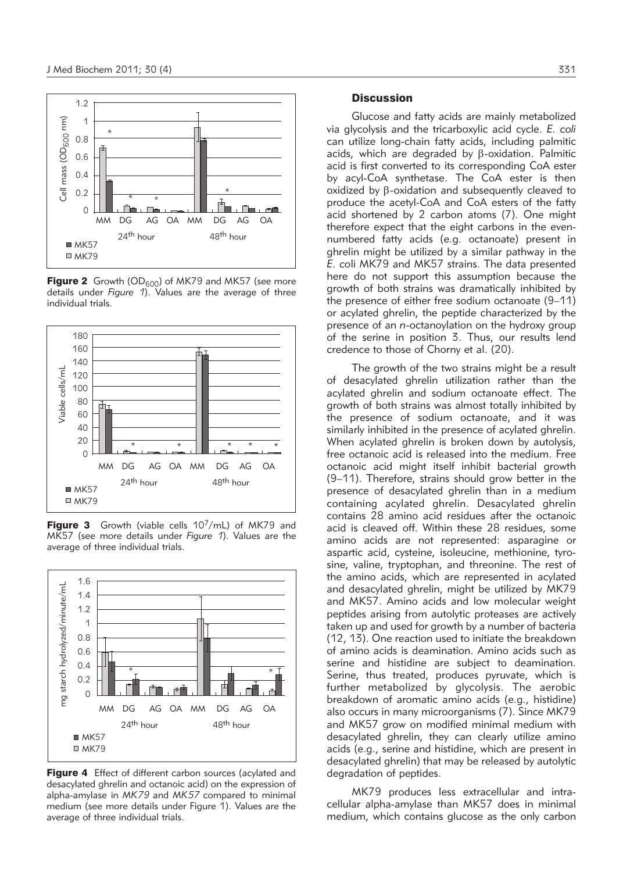

**Figure 2** Growth (OD<sub>600</sub>) of MK79 and MK57 (see more details under *Figure 1*). Values are the average of three individual trials.



Figure 3 Growth (viable cells 107/mL) of MK79 and MK57 (see more details under *Figure 1*). Values are the average of three individual trials.



Figure 4 Effect of different carbon sources (acylated and desacylated ghrelin and octanoic acid) on the expression of alpha-amylase in *MK79* and *MK57* compared to minimal medium (see more details under Figure 1). Values are the average of three individual trials.

# **Discussion**

Glucose and fatty acids are mainly metabolized via glycolysis and the tricarboxylic acid cycle. *E. coli* can utilize long-chain fatty acids, including palmitic acids, which are degraded by  $\beta$ -oxidation. Palmitic acid is first converted to its corresponding CoA ester by acyl-CoA synthetase. The CoA ester is then oxidized by b-oxidation and subsequently cleaved to produce the acetyl-CoA and CoA esters of the fatty acid shortened by 2 carbon atoms (7). One might therefore expect that the eight carbons in the evennumbered fatty acids (e.g. octanoate) present in ghrelin might be utilized by a similar pathway in the *E. co*li MK79 and MK57 strains. The data presented here do not support this assumption because the growth of both strains was dramatically inhibited by the presence of either free sodium octanoate (9–11) or acylated ghrelin, the peptide characterized by the presence of an *n*-octanoylation on the hydroxy group of the serine in position 3. Thus, our results lend credence to those of Chorny et al. (20).

The growth of the two strains might be a result of desacylated ghrelin utilization rather than the acylated ghrelin and sodium octanoate effect. The growth of both strains was almost totally inhibited by the presence of sodium octanoate, and it was similarly inhibited in the presence of acylated ghrelin. When acylated ghrelin is broken down by autolysis, free octanoic acid is released into the medium. Free octanoic acid might itself inhibit bacterial growth (9–11). Therefore, strains should grow better in the presence of desacylated ghrelin than in a medium containing acylated ghrelin. Desacylated ghrelin contains 28 amino acid residues after the octanoic acid is cleaved off. Within these 28 residues, some amino acids are not represented: asparagine or aspartic acid, cysteine, isoleucine, methionine, tyrosine, valine, tryptophan, and threonine. The rest of the amino acids, which are represented in acylated and desacylated ghrelin, might be utilized by MK79 and MK57. Amino acids and low molecular weight peptides arising from autolytic proteases are actively taken up and used for growth by a number of bacteria (12, 13). One reaction used to initiate the breakdown of amino acids is deamination. Amino acids such as serine and histidine are subject to deamination. Serine, thus treated, produces pyruvate, which is further metabolized by glycolysis. The aerobic breakdown of aromatic amino acids (e.g., histidine) also occurs in many microorganisms (7). Since MK79 and MK57 grow on modified minimal medium with desacylated ghrelin, they can clearly utilize amino acids (e.g., serine and histidine, which are present in desacylated ghrelin) that may be released by autolytic degradation of peptides.

MK79 produces less extracellular and intracellular alpha-amylase than MK57 does in minimal medium, which contains glucose as the only carbon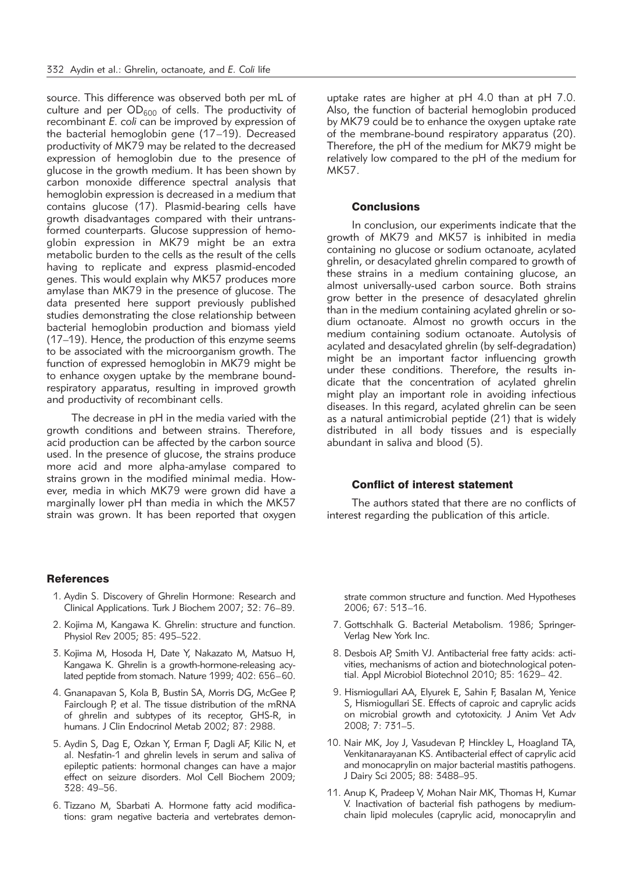source. This difference was observed both per mL of culture and per  $OD_{600}$  of cells. The productivity of recombinant *E. coli* can be improved by expression of the bacterial hemoglobin gene (17-19). Decreased productivity of MK79 may be related to the decreased expression of hemoglobin due to the presence of glucose in the growth medium. It has been shown by carbon monoxide difference spectral analysis that hemoglobin expression is decreased in a medium that contains glucose (17). Plasmid-bearing cells have growth disadvantages compared with their untransformed counterparts. Glucose suppression of hemoglobin expression in MK79 might be an extra metabolic burden to the cells as the result of the cells having to replicate and express plasmid-encoded genes. This would explain why MK57 produces more amylase than MK79 in the presence of glucose. The data presented here support previously published studies demonstrating the close relationship between bacterial hemoglobin production and biomass yield (17–19). Hence, the production of this enzyme seems to be associated with the microorganism growth. The function of expressed hemoglobin in MK79 might be to enhance oxygen uptake by the membrane boundrespiratory apparatus, resulting in improved growth and productivity of recombinant cells.

The decrease in pH in the media varied with the growth conditions and between strains. Therefore, acid production can be affected by the carbon source used. In the presence of glucose, the strains produce more acid and more alpha-amylase compared to strains grown in the modified minimal media. However, media in which MK79 were grown did have a marginally lower pH than media in which the MK57 strain was grown. It has been reported that oxygen uptake rates are higher at pH 4.0 than at pH 7.0. Also, the function of bacterial hemoglobin produced by MK79 could be to enhance the oxygen uptake rate of the membrane-bound respiratory apparatus (20). Therefore, the pH of the medium for MK79 might be relatively low compared to the pH of the medium for MK57.

#### **Conclusions**

In conclusion, our experiments indicate that the growth of MK79 and MK57 is inhibited in media containing no glucose or sodium octanoate, acylated ghrelin, or desacylated ghrelin compared to growth of these strains in a medium containing glucose, an almost universally-used carbon source. Both strains grow better in the presence of desacylated ghrelin than in the medium containing acylated ghrelin or sodium octanoate. Almost no growth occurs in the medium containing sodium octanoate. Autolysis of acylated and desacylated ghrelin (by self-degradation) might be an important factor influencing growth under these conditions. Therefore, the results indicate that the concentration of acylated ghrelin might play an important role in avoiding infectious diseases. In this regard, acylated ghrelin can be seen as a natural antimicrobial peptide (21) that is widely distributed in all body tissues and is especially abundant in saliva and blood (5).

# Conflict of interest statement

The authors stated that there are no conflicts of interest regarding the publication of this article.

#### **References**

- 1. Aydin S. Discovery of Ghrelin Hormone: Research and Clinical Applications. Turk J Biochem 2007; 32: 76–89.
- 2. Kojima M, Kangawa K. Ghrelin: structure and function. Physiol Rev 2005; 85: 495–522.
- 3. Kojima M, Hosoda H, Date Y, Nakazato M, Matsuo H, Kangawa K. Ghrelin is a growth-hormone-releasing acylated peptide from stomach. Nature 1999; 402: 656–60.
- 4. Gnanapavan S, Kola B, Bustin SA, Morris DG, McGee P, Fairclough P, et al. The tissue distribution of the mRNA of ghrelin and subtypes of its receptor, GHS-R, in humans. J Clin Endocrinol Metab 2002; 87: 2988.
- 5. Aydin S, Dag E, Ozkan Y, Erman F, Dagli AF, Kilic N, et al. Nesfatin-1 and ghrelin levels in serum and saliva of epileptic patients: hormonal changes can have a major effect on seizure disorders. Mol Cell Biochem 2009; 328: 49–56.
- 6. Tizzano M, Sbarbati A. Hormone fatty acid modifications: gram negative bacteria and vertebrates demon-

strate common structure and function. Med Hypotheses 2006; 67: 513–16.

- 7. Gottschhalk G. Bacterial Metabolism. 1986; Springer-Verlag New York Inc.
- 8. Desbois AP, Smith VJ. Antibacterial free fatty acids: activities, mechanisms of action and biotechnological potential. Appl Microbiol Biotechnol 2010; 85: 1629– 42.
- 9. Hismiogullari AA, Elyurek E, Sahin F, Basalan M, Yenice S, Hismiogullari SE. Effects of caproic and caprylic acids on microbial growth and cytotoxicity. J Anim Vet Adv 2008; 7: 731–5.
- 10. Nair MK, Joy J, Vasudevan P, Hinckley L, Hoagland TA, Venkitanarayanan KS. Antibacterial effect of caprylic acid and monocaprylin on major bacterial mastitis pathogens. J Dairy Sci 2005; 88: 3488–95.
- 11. Anup K, Pradeep V, Mohan Nair MK, Thomas H, Kumar V. Inactivation of bacterial fish pathogens by mediumchain lipid molecules (caprylic acid, monocaprylin and